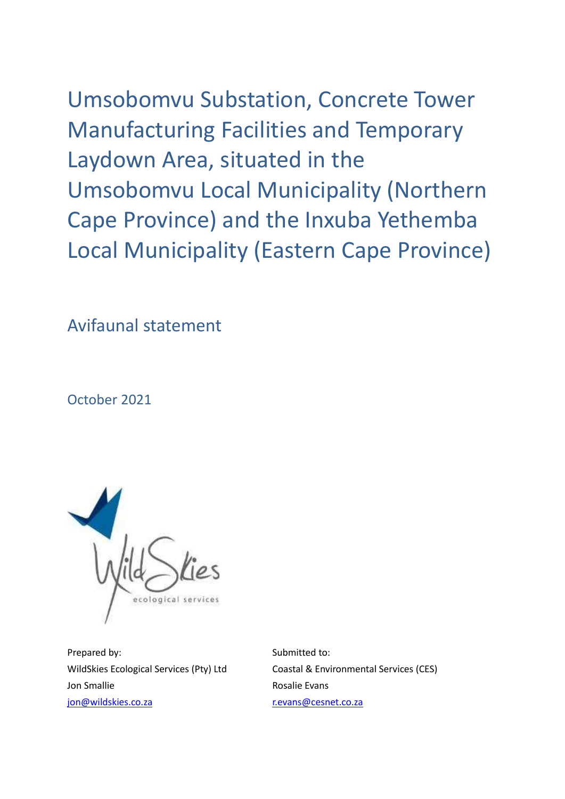Umsobomvu Substation, Concrete Tower Manufacturing Facilities and Temporary Laydown Area, situated in the Umsobomvu Local Municipality (Northern Cape Province) and the Inxuba Yethemba Local Municipality (Eastern Cape Province)

Avifaunal statement

October 2021



Prepared by: Submitted to: Jon Smallie Rosalie Evans [jon@wildskies.co.za](mailto:jon@wildskies.co.za) [r.evans@cesnet.co.za](mailto:r.evans@cesnet.co.za)

WildSkies Ecological Services (Pty) Ltd Coastal & Environmental Services (CES)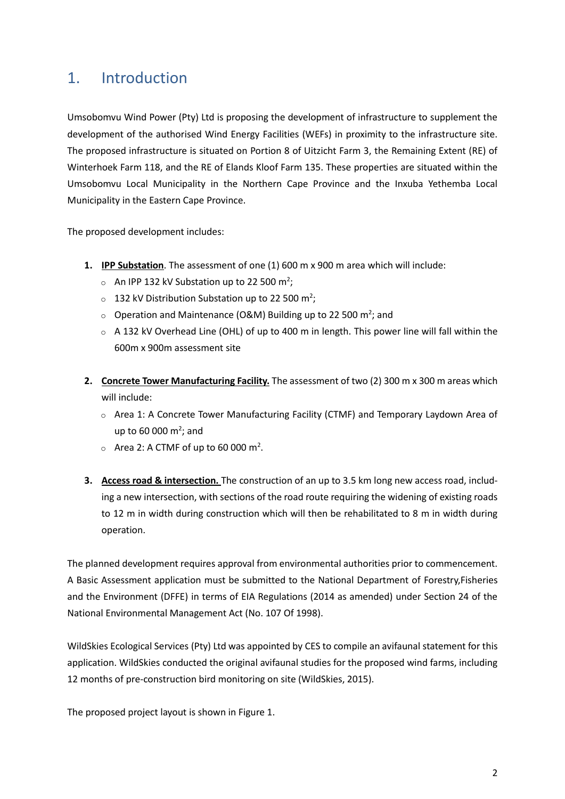## 1. Introduction

Umsobomvu Wind Power (Pty) Ltd is proposing the development of infrastructure to supplement the development of the authorised Wind Energy Facilities (WEFs) in proximity to the infrastructure site. The proposed infrastructure is situated on Portion 8 of Uitzicht Farm 3, the Remaining Extent (RE) of Winterhoek Farm 118, and the RE of Elands Kloof Farm 135. These properties are situated within the Umsobomvu Local Municipality in the Northern Cape Province and the Inxuba Yethemba Local Municipality in the Eastern Cape Province.

The proposed development includes:

- **1. IPP Substation**. The assessment of one (1) 600 m x 900 m area which will include:
	- $\circ$  An IPP 132 kV Substation up to 22 500 m<sup>2</sup>;
	- $\circ$  132 kV Distribution Substation up to 22 500 m<sup>2</sup>;
	- $\circ$  Operation and Maintenance (O&M) Building up to 22 500 m<sup>2</sup>; and
	- $\circ$  A 132 kV Overhead Line (OHL) of up to 400 m in length. This power line will fall within the 600m x 900m assessment site
- **2. Concrete Tower Manufacturing Facility.** The assessment of two (2) 300 m x 300 m areas which will include:
	- o Area 1: A Concrete Tower Manufacturing Facility (CTMF) and Temporary Laydown Area of up to 60 000  $m^2$ ; and
	- $\circ$  Area 2: A CTMF of up to 60 000 m<sup>2</sup>.
- **3. Access road & intersection.** The construction of an up to 3.5 km long new access road, including a new intersection, with sections of the road route requiring the widening of existing roads to 12 m in width during construction which will then be rehabilitated to 8 m in width during operation.

The planned development requires approval from environmental authorities prior to commencement. A Basic Assessment application must be submitted to the National Department of Forestry,Fisheries and the Environment (DFFE) in terms of EIA Regulations (2014 as amended) under Section 24 of the National Environmental Management Act (No. 107 Of 1998).

WildSkies Ecological Services (Pty) Ltd was appointed by CES to compile an avifaunal statement for this application. WildSkies conducted the original avifaunal studies for the proposed wind farms, including 12 months of pre-construction bird monitoring on site (WildSkies, 2015).

The proposed project layout is shown in Figure 1.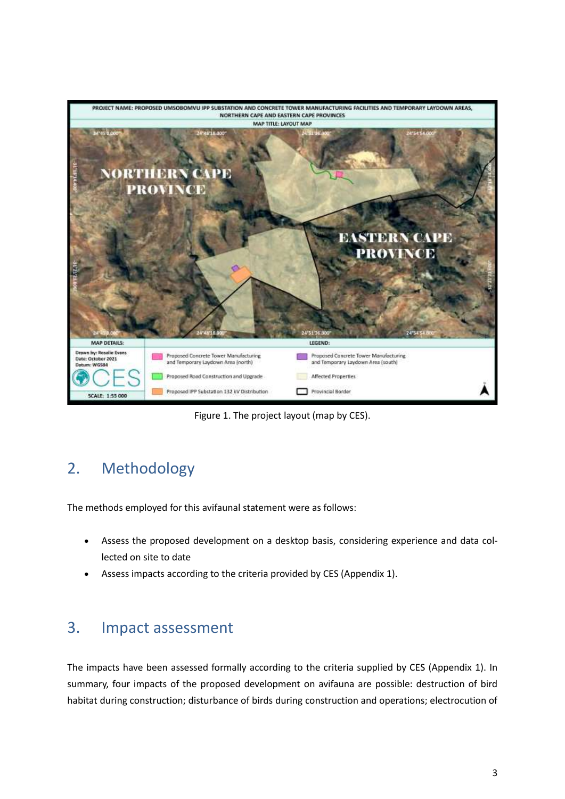

Figure 1. The project layout (map by CES).

## 2. Methodology

The methods employed for this avifaunal statement were as follows:

- Assess the proposed development on a desktop basis, considering experience and data collected on site to date
- Assess impacts according to the criteria provided by CES (Appendix 1).

## 3. Impact assessment

The impacts have been assessed formally according to the criteria supplied by CES (Appendix 1). In summary, four impacts of the proposed development on avifauna are possible: destruction of bird habitat during construction; disturbance of birds during construction and operations; electrocution of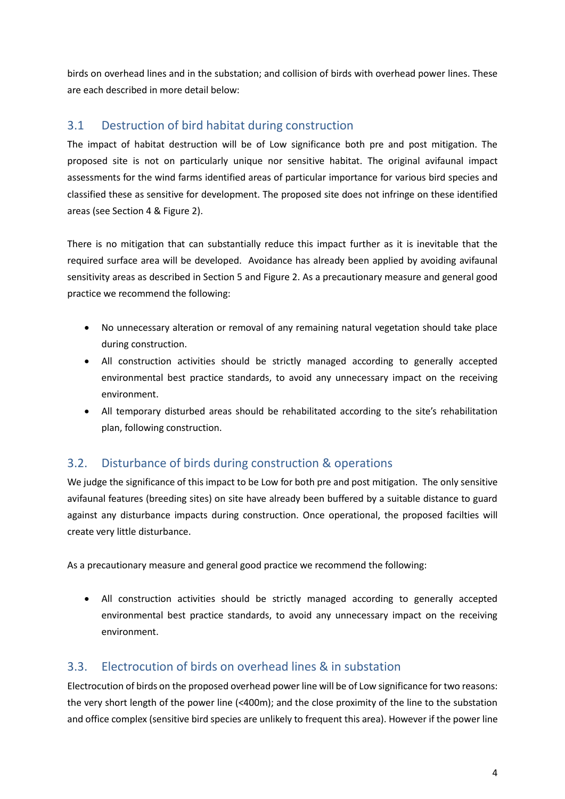birds on overhead lines and in the substation; and collision of birds with overhead power lines. These are each described in more detail below:

### 3.1 Destruction of bird habitat during construction

The impact of habitat destruction will be of Low significance both pre and post mitigation. The proposed site is not on particularly unique nor sensitive habitat. The original avifaunal impact assessments for the wind farms identified areas of particular importance for various bird species and classified these as sensitive for development. The proposed site does not infringe on these identified areas (see Section 4 & Figure 2).

There is no mitigation that can substantially reduce this impact further as it is inevitable that the required surface area will be developed. Avoidance has already been applied by avoiding avifaunal sensitivity areas as described in Section 5 and Figure 2. As a precautionary measure and general good practice we recommend the following:

- No unnecessary alteration or removal of any remaining natural vegetation should take place during construction.
- All construction activities should be strictly managed according to generally accepted environmental best practice standards, to avoid any unnecessary impact on the receiving environment.
- All temporary disturbed areas should be rehabilitated according to the site's rehabilitation plan, following construction.

### 3.2. Disturbance of birds during construction & operations

We judge the significance of this impact to be Low for both pre and post mitigation. The only sensitive avifaunal features (breeding sites) on site have already been buffered by a suitable distance to guard against any disturbance impacts during construction. Once operational, the proposed facilties will create very little disturbance.

As a precautionary measure and general good practice we recommend the following:

• All construction activities should be strictly managed according to generally accepted environmental best practice standards, to avoid any unnecessary impact on the receiving environment.

### 3.3. Electrocution of birds on overhead lines & in substation

Electrocution of birds on the proposed overhead power line will be of Low significance for two reasons: the very short length of the power line (<400m); and the close proximity of the line to the substation and office complex (sensitive bird species are unlikely to frequent this area). However if the power line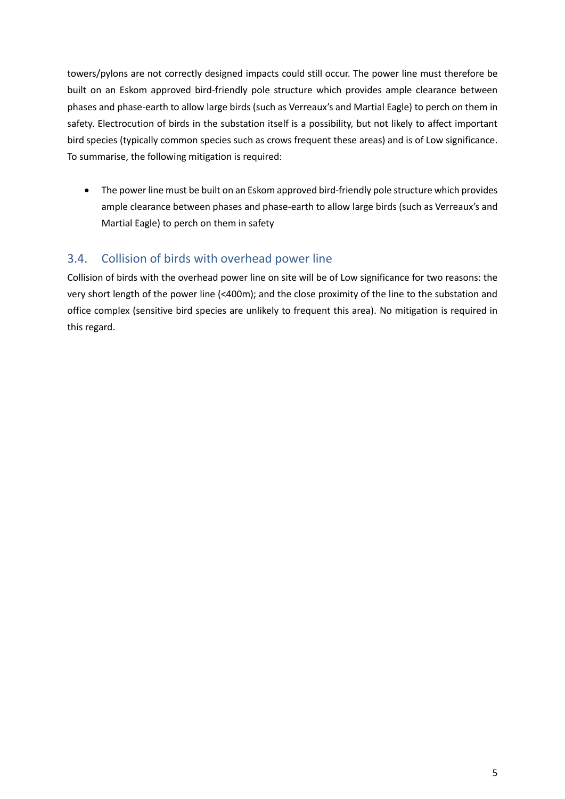towers/pylons are not correctly designed impacts could still occur. The power line must therefore be built on an Eskom approved bird-friendly pole structure which provides ample clearance between phases and phase-earth to allow large birds (such as Verreaux's and Martial Eagle) to perch on them in safety. Electrocution of birds in the substation itself is a possibility, but not likely to affect important bird species (typically common species such as crows frequent these areas) and is of Low significance. To summarise, the following mitigation is required:

• The power line must be built on an Eskom approved bird-friendly pole structure which provides ample clearance between phases and phase-earth to allow large birds (such as Verreaux's and Martial Eagle) to perch on them in safety

### 3.4. Collision of birds with overhead power line

Collision of birds with the overhead power line on site will be of Low significance for two reasons: the very short length of the power line (<400m); and the close proximity of the line to the substation and office complex (sensitive bird species are unlikely to frequent this area). No mitigation is required in this regard.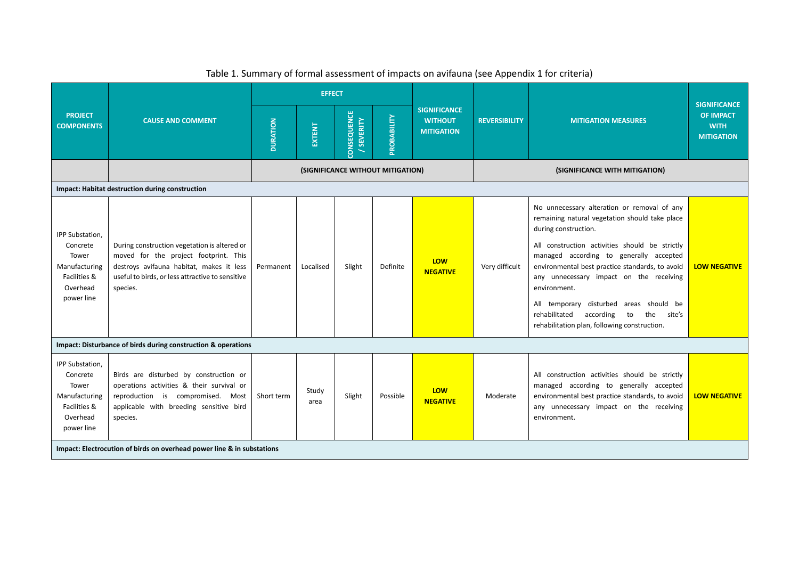| <b>PROJECT</b><br><b>COMPONENTS</b>                                                             | <b>CAUSE AND COMMENT</b>                                                                                                                                                                          | <b>EFFECT</b>                     |               |                                |                                |                                                            |                      |                                                                                                                                                                                                                                                                                                                                                                                                                                                                                  |                                                                             |
|-------------------------------------------------------------------------------------------------|---------------------------------------------------------------------------------------------------------------------------------------------------------------------------------------------------|-----------------------------------|---------------|--------------------------------|--------------------------------|------------------------------------------------------------|----------------------|----------------------------------------------------------------------------------------------------------------------------------------------------------------------------------------------------------------------------------------------------------------------------------------------------------------------------------------------------------------------------------------------------------------------------------------------------------------------------------|-----------------------------------------------------------------------------|
|                                                                                                 |                                                                                                                                                                                                   | <b>DURATION</b>                   | EXTENT        | CONSEQUENCE<br><b>SEVERITY</b> | PROBABILITY                    | <b>SIGNIFICANCE</b><br><b>WITHOUT</b><br><b>MITIGATION</b> | <b>REVERSIBILITY</b> | <b>MITIGATION MEASURES</b>                                                                                                                                                                                                                                                                                                                                                                                                                                                       | <b>SIGNIFICANCE</b><br><b>OF IMPACT</b><br><b>WITH</b><br><b>MITIGATION</b> |
|                                                                                                 |                                                                                                                                                                                                   | (SIGNIFICANCE WITHOUT MITIGATION) |               |                                | (SIGNIFICANCE WITH MITIGATION) |                                                            |                      |                                                                                                                                                                                                                                                                                                                                                                                                                                                                                  |                                                                             |
|                                                                                                 | Impact: Habitat destruction during construction                                                                                                                                                   |                                   |               |                                |                                |                                                            |                      |                                                                                                                                                                                                                                                                                                                                                                                                                                                                                  |                                                                             |
| IPP Substation,<br>Concrete<br>Tower<br>Manufacturing<br>Facilities &<br>Overhead<br>power line | During construction vegetation is altered or<br>moved for the project footprint. This<br>destroys avifauna habitat, makes it less<br>useful to birds, or less attractive to sensitive<br>species. | Permanent                         | Localised     | Slight                         | Definite                       | LOW<br><b>NEGATIVE</b>                                     | Very difficult       | No unnecessary alteration or removal of any<br>remaining natural vegetation should take place<br>during construction.<br>All construction activities should be strictly<br>managed according to generally accepted<br>environmental best practice standards, to avoid<br>any unnecessary impact on the receiving<br>environment.<br>All temporary disturbed areas should be<br>rehabilitated<br>according<br>to<br>the<br>site's<br>rehabilitation plan, following construction. | <b>LOW NEGATIVE</b>                                                         |
| Impact: Disturbance of birds during construction & operations                                   |                                                                                                                                                                                                   |                                   |               |                                |                                |                                                            |                      |                                                                                                                                                                                                                                                                                                                                                                                                                                                                                  |                                                                             |
| IPP Substation,<br>Concrete<br>Tower<br>Manufacturing<br>Facilities &<br>Overhead<br>power line | Birds are disturbed by construction or<br>operations activities & their survival or<br>reproduction is compromised.<br>Most<br>applicable with breeding sensitive bird<br>species.                | Short term                        | Study<br>area | Slight                         | Possible                       | <b>LOW</b><br><b>NEGATIVE</b>                              | Moderate             | All construction activities should be strictly<br>managed according to generally accepted<br>environmental best practice standards, to avoid<br>any unnecessary impact on the receiving<br>environment.                                                                                                                                                                                                                                                                          | <b>LOW NEGATIVE</b>                                                         |
| Impact: Electrocution of birds on overhead power line & in substations                          |                                                                                                                                                                                                   |                                   |               |                                |                                |                                                            |                      |                                                                                                                                                                                                                                                                                                                                                                                                                                                                                  |                                                                             |

#### Table 1. Summary of formal assessment of impacts on avifauna (see Appendix 1 for criteria)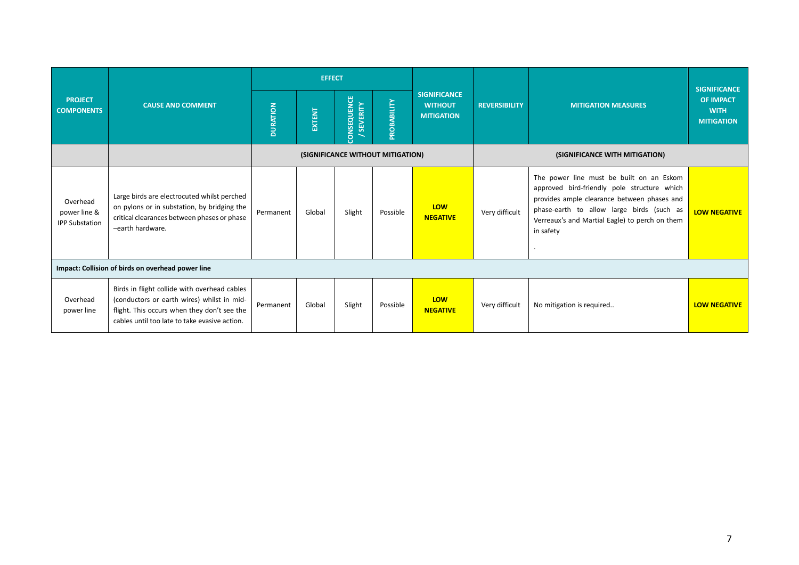| <b>PROJECT</b><br><b>COMPONENTS</b>               | <b>CAUSE AND COMMENT</b>                                                                                                                                                                   | <b>EFFECT</b>                     |        |                                       |             |                                                            |                      |                                                                                                                                                                                                                                                    | <b>SIGNIFICANCE</b>                                  |
|---------------------------------------------------|--------------------------------------------------------------------------------------------------------------------------------------------------------------------------------------------|-----------------------------------|--------|---------------------------------------|-------------|------------------------------------------------------------|----------------------|----------------------------------------------------------------------------------------------------------------------------------------------------------------------------------------------------------------------------------------------------|------------------------------------------------------|
|                                                   |                                                                                                                                                                                            | <b>DURATION</b>                   | EXTENT | <b>CONSEQUENCE</b><br><b>SEVERITY</b> | PROBABILITY | <b>SIGNIFICANCE</b><br><b>WITHOUT</b><br><b>MITIGATION</b> | <b>REVERSIBILITY</b> | <b>MITIGATION MEASURES</b>                                                                                                                                                                                                                         | <b>OF IMPACT</b><br><b>WITH</b><br><b>MITIGATION</b> |
|                                                   |                                                                                                                                                                                            | (SIGNIFICANCE WITHOUT MITIGATION) |        |                                       |             |                                                            |                      | (SIGNIFICANCE WITH MITIGATION)                                                                                                                                                                                                                     |                                                      |
| Overhead<br>power line &<br><b>IPP Substation</b> | Large birds are electrocuted whilst perched<br>on pylons or in substation, by bridging the<br>critical clearances between phases or phase<br>-earth hardware.                              | Permanent                         | Global | Slight                                | Possible    | <b>LOW</b><br><b>NEGATIVE</b>                              | Very difficult       | The power line must be built on an Eskom<br>approved bird-friendly pole structure which<br>provides ample clearance between phases and<br>phase-earth to allow large birds (such as<br>Verreaux's and Martial Eagle) to perch on them<br>in safety | <b>LOW NEGATIVE</b>                                  |
| Impact: Collision of birds on overhead power line |                                                                                                                                                                                            |                                   |        |                                       |             |                                                            |                      |                                                                                                                                                                                                                                                    |                                                      |
| Overhead<br>power line                            | Birds in flight collide with overhead cables<br>(conductors or earth wires) whilst in mid-<br>flight. This occurs when they don't see the<br>cables until too late to take evasive action. | Permanent                         | Global | Slight                                | Possible    | LOW<br><b>NEGATIVE</b>                                     | Very difficult       | No mitigation is required                                                                                                                                                                                                                          | <b>LOW NEGATIVE</b>                                  |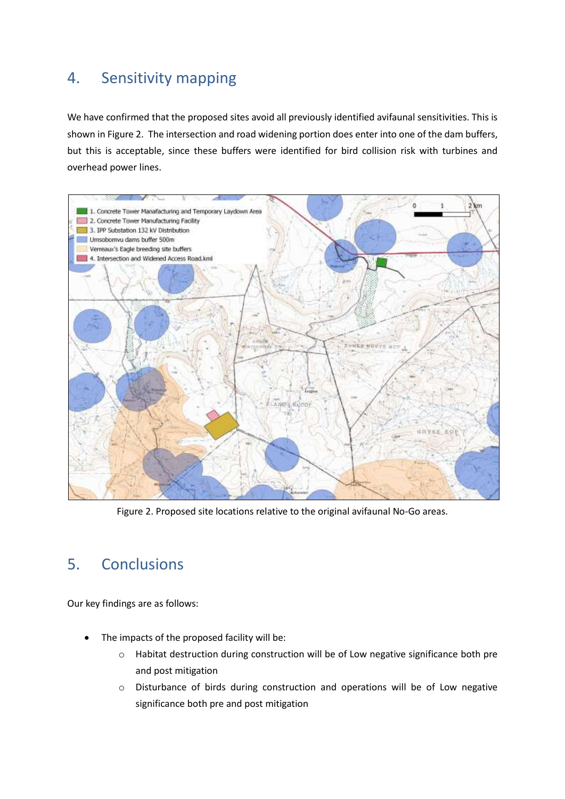## 4. Sensitivity mapping

We have confirmed that the proposed sites avoid all previously identified avifaunal sensitivities. This is shown in Figure 2. The intersection and road widening portion does enter into one of the dam buffers, but this is acceptable, since these buffers were identified for bird collision risk with turbines and overhead power lines.



Figure 2. Proposed site locations relative to the original avifaunal No-Go areas.

## 5. Conclusions

Our key findings are as follows:

- The impacts of the proposed facility will be:
	- o Habitat destruction during construction will be of Low negative significance both pre and post mitigation
	- o Disturbance of birds during construction and operations will be of Low negative significance both pre and post mitigation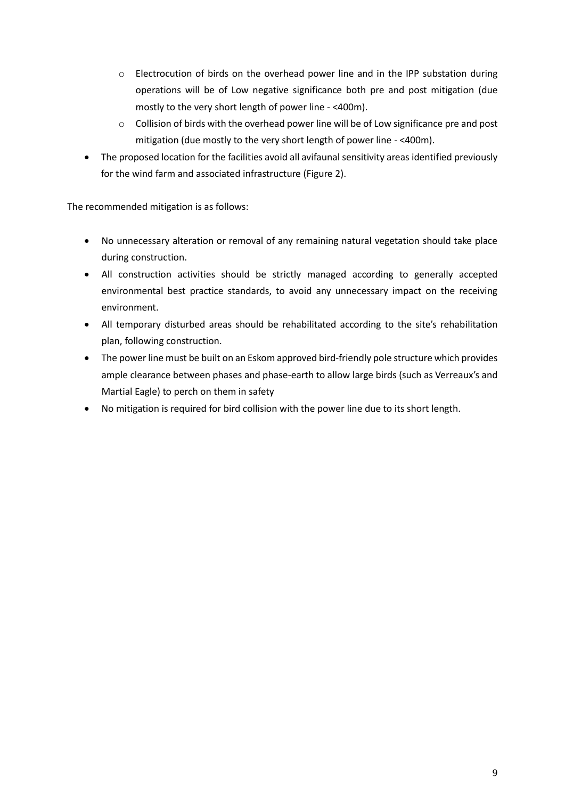- o Electrocution of birds on the overhead power line and in the IPP substation during operations will be of Low negative significance both pre and post mitigation (due mostly to the very short length of power line - <400m).
- $\circ$  Collision of birds with the overhead power line will be of Low significance pre and post mitigation (due mostly to the very short length of power line - <400m).
- The proposed location for the facilities avoid all avifaunal sensitivity areas identified previously for the wind farm and associated infrastructure (Figure 2).

The recommended mitigation is as follows:

- No unnecessary alteration or removal of any remaining natural vegetation should take place during construction.
- All construction activities should be strictly managed according to generally accepted environmental best practice standards, to avoid any unnecessary impact on the receiving environment.
- All temporary disturbed areas should be rehabilitated according to the site's rehabilitation plan, following construction.
- The power line must be built on an Eskom approved bird-friendly pole structure which provides ample clearance between phases and phase-earth to allow large birds (such as Verreaux's and Martial Eagle) to perch on them in safety
- No mitigation is required for bird collision with the power line due to its short length.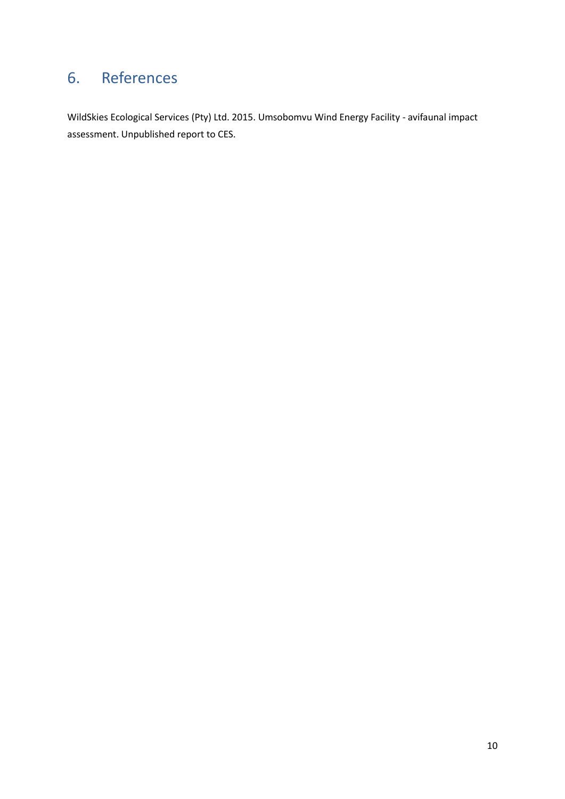# 6. References

WildSkies Ecological Services (Pty) Ltd. 2015. Umsobomvu Wind Energy Facility - avifaunal impact assessment. Unpublished report to CES.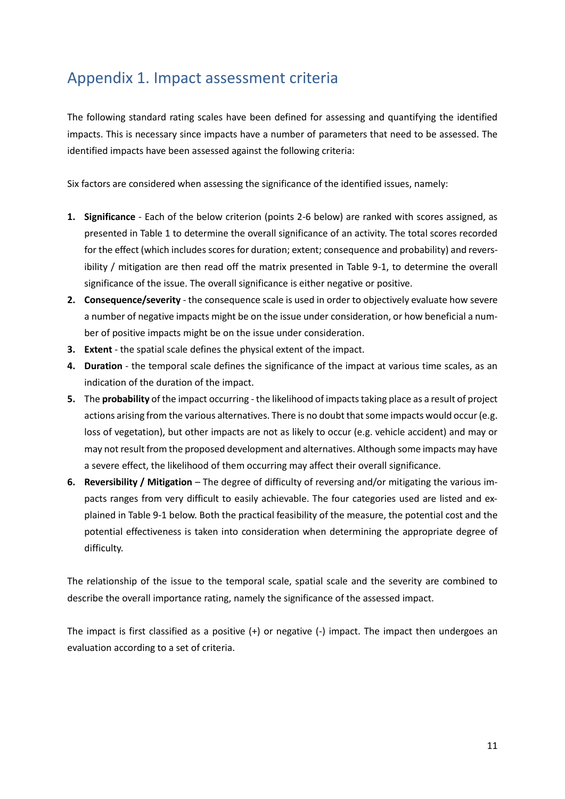## Appendix 1. Impact assessment criteria

The following standard rating scales have been defined for assessing and quantifying the identified impacts. This is necessary since impacts have a number of parameters that need to be assessed. The identified impacts have been assessed against the following criteria:

Six factors are considered when assessing the significance of the identified issues, namely:

- **1. Significance** Each of the below criterion (points 2-6 below) are ranked with scores assigned, as presented in Table 1 to determine the overall significance of an activity. The total scores recorded for the effect (which includes scores for duration; extent; consequence and probability) and reversibility / mitigation are then read off the matrix presented in Table 9-1, to determine the overall significance of the issue. The overall significance is either negative or positive.
- **2. Consequence/severity** the consequence scale is used in order to objectively evaluate how severe a number of negative impacts might be on the issue under consideration, or how beneficial a number of positive impacts might be on the issue under consideration.
- **3. Extent** the spatial scale defines the physical extent of the impact.
- **4. Duration** the temporal scale defines the significance of the impact at various time scales, as an indication of the duration of the impact.
- **5.** The **probability** of the impact occurring the likelihood of impacts taking place as a result of project actions arising from the various alternatives. There is no doubt that some impacts would occur (e.g. loss of vegetation), but other impacts are not as likely to occur (e.g. vehicle accident) and may or may not result from the proposed development and alternatives. Although some impacts may have a severe effect, the likelihood of them occurring may affect their overall significance.
- **6. Reversibility / Mitigation** The degree of difficulty of reversing and/or mitigating the various impacts ranges from very difficult to easily achievable. The four categories used are listed and explained in Table 9-1 below. Both the practical feasibility of the measure, the potential cost and the potential effectiveness is taken into consideration when determining the appropriate degree of difficulty.

The relationship of the issue to the temporal scale, spatial scale and the severity are combined to describe the overall importance rating, namely the significance of the assessed impact.

The impact is first classified as a positive (+) or negative (-) impact. The impact then undergoes an evaluation according to a set of criteria.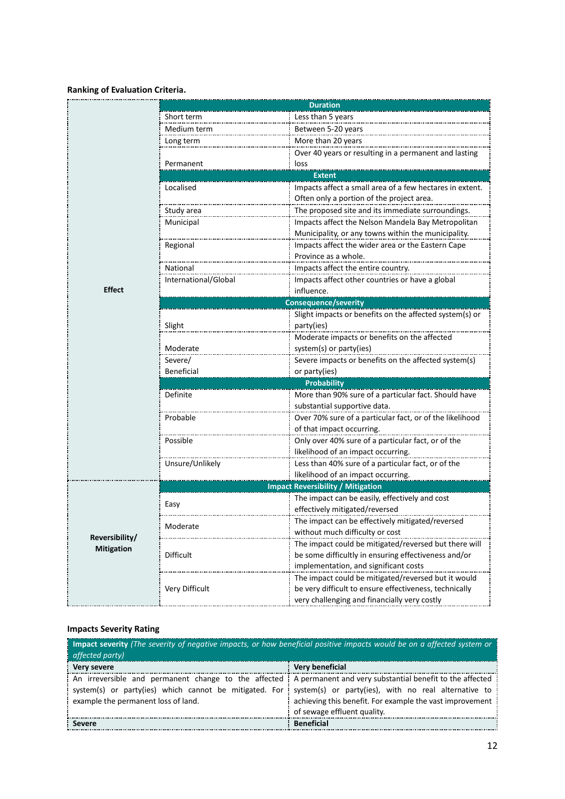#### **Ranking of Evaluation Criteria.**

|                   |                                          | <b>Duration</b>                                                                       |  |  |  |  |  |  |
|-------------------|------------------------------------------|---------------------------------------------------------------------------------------|--|--|--|--|--|--|
|                   | Short term                               | Less than 5 years                                                                     |  |  |  |  |  |  |
|                   | Medium term                              | Between 5-20 years                                                                    |  |  |  |  |  |  |
|                   | Long term                                | More than 20 years                                                                    |  |  |  |  |  |  |
|                   |                                          | Over 40 years or resulting in a permanent and lasting                                 |  |  |  |  |  |  |
|                   | Permanent                                | loss                                                                                  |  |  |  |  |  |  |
|                   | <b>Extent</b>                            |                                                                                       |  |  |  |  |  |  |
|                   | Localised                                | Impacts affect a small area of a few hectares in extent.                              |  |  |  |  |  |  |
|                   |                                          | Often only a portion of the project area.                                             |  |  |  |  |  |  |
|                   | Study area                               | The proposed site and its immediate surroundings.                                     |  |  |  |  |  |  |
|                   | Municipal                                | Impacts affect the Nelson Mandela Bay Metropolitan                                    |  |  |  |  |  |  |
|                   |                                          | Municipality, or any towns within the municipality.                                   |  |  |  |  |  |  |
|                   | Regional                                 | Impacts affect the wider area or the Eastern Cape                                     |  |  |  |  |  |  |
|                   |                                          | Province as a whole.                                                                  |  |  |  |  |  |  |
|                   | National                                 | Impacts affect the entire country.                                                    |  |  |  |  |  |  |
|                   | International/Global                     | Impacts affect other countries or have a global                                       |  |  |  |  |  |  |
| <b>Effect</b>     |                                          | influence.                                                                            |  |  |  |  |  |  |
|                   | <b>Consequence/severity</b>              |                                                                                       |  |  |  |  |  |  |
|                   |                                          | Slight impacts or benefits on the affected system(s) or                               |  |  |  |  |  |  |
|                   | Slight                                   | party(ies)                                                                            |  |  |  |  |  |  |
|                   |                                          | Moderate impacts or benefits on the affected                                          |  |  |  |  |  |  |
|                   | Moderate                                 | system(s) or party(ies)                                                               |  |  |  |  |  |  |
|                   | Severe/                                  | Severe impacts or benefits on the affected system(s)                                  |  |  |  |  |  |  |
|                   | Beneficial                               | or party(ies)                                                                         |  |  |  |  |  |  |
|                   |                                          | <b>Probability</b>                                                                    |  |  |  |  |  |  |
|                   | Definite                                 |                                                                                       |  |  |  |  |  |  |
|                   |                                          | More than 90% sure of a particular fact. Should have<br>substantial supportive data.  |  |  |  |  |  |  |
|                   |                                          |                                                                                       |  |  |  |  |  |  |
|                   | Probable                                 | Over 70% sure of a particular fact, or of the likelihood<br>of that impact occurring. |  |  |  |  |  |  |
|                   |                                          |                                                                                       |  |  |  |  |  |  |
|                   | Possible                                 | Only over 40% sure of a particular fact, or of the                                    |  |  |  |  |  |  |
|                   |                                          | likelihood of an impact occurring.                                                    |  |  |  |  |  |  |
|                   | Unsure/Unlikely                          | Less than 40% sure of a particular fact, or of the                                    |  |  |  |  |  |  |
|                   |                                          | likelihood of an impact occurring.                                                    |  |  |  |  |  |  |
|                   | <b>Impact Reversibility / Mitigation</b> |                                                                                       |  |  |  |  |  |  |
|                   | Easy                                     | The impact can be easily, effectively and cost                                        |  |  |  |  |  |  |
|                   |                                          | effectively mitigated/reversed                                                        |  |  |  |  |  |  |
|                   | Moderate                                 | The impact can be effectively mitigated/reversed                                      |  |  |  |  |  |  |
| Reversibility/    |                                          | without much difficulty or cost                                                       |  |  |  |  |  |  |
| <b>Mitigation</b> |                                          | The impact could be mitigated/reversed but there will                                 |  |  |  |  |  |  |
|                   | Difficult                                | be some difficultly in ensuring effectiveness and/or                                  |  |  |  |  |  |  |
|                   |                                          | implementation, and significant costs                                                 |  |  |  |  |  |  |
|                   |                                          | The impact could be mitigated/reversed but it would                                   |  |  |  |  |  |  |
|                   | Very Difficult                           | be very difficult to ensure effectiveness, technically                                |  |  |  |  |  |  |
|                   |                                          | very challenging and financially very costly                                          |  |  |  |  |  |  |

#### **Impacts Severity Rating**

| <b>Impact severity</b> (The severity of negative impacts, or how beneficial positive impacts would be on a affected system or<br>affected party)                                                                                                                      |                                                          |  |  |  |  |  |
|-----------------------------------------------------------------------------------------------------------------------------------------------------------------------------------------------------------------------------------------------------------------------|----------------------------------------------------------|--|--|--|--|--|
| Very severe                                                                                                                                                                                                                                                           | Very beneficial                                          |  |  |  |  |  |
| An irreversible and permanent change to the affected : A permanent and very substantial benefit to the affected<br>system(s) or party(ies) which cannot be mitigated. For system(s) or party(ies), with no real alternative to<br>example the permanent loss of land. | achieving this benefit. For example the vast improvement |  |  |  |  |  |
| : Severe                                                                                                                                                                                                                                                              | of sewage effluent quality.<br><b>Beneficial</b>         |  |  |  |  |  |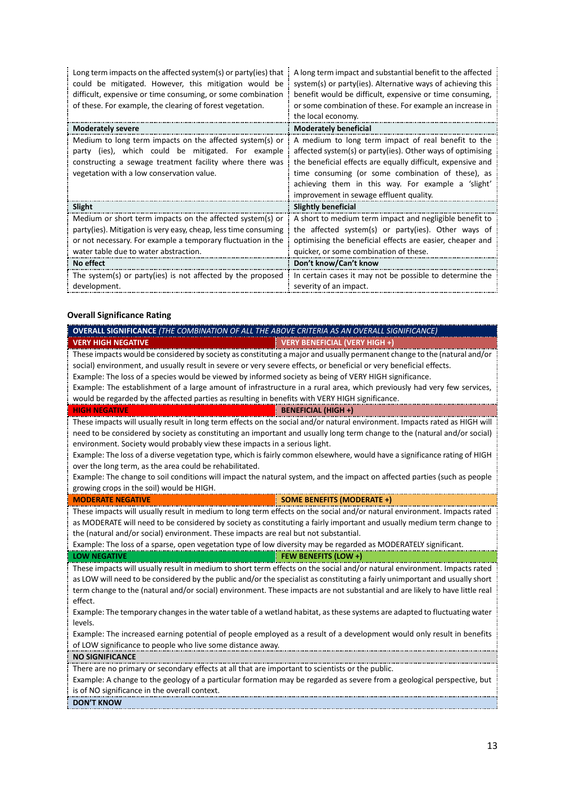| Long term impacts on the affected system(s) or party(ies) that<br>could be mitigated. However, this mitigation would be<br>difficult, expensive or time consuming, or some combination<br>of these. For example, the clearing of forest vegetation. | A long term impact and substantial benefit to the affected<br>system(s) or party(ies). Alternative ways of achieving this<br>benefit would be difficult, expensive or time consuming,<br>or some combination of these. For example an increase in<br>the local economy.                                                                |
|-----------------------------------------------------------------------------------------------------------------------------------------------------------------------------------------------------------------------------------------------------|----------------------------------------------------------------------------------------------------------------------------------------------------------------------------------------------------------------------------------------------------------------------------------------------------------------------------------------|
| <b>Moderately severe</b>                                                                                                                                                                                                                            | <b>Moderately beneficial</b>                                                                                                                                                                                                                                                                                                           |
| Medium to long term impacts on the affected system(s) or<br>(ies), which could be mitigated. For example<br>party<br>constructing a sewage treatment facility where there was<br>vegetation with a low conservation value.                          | A medium to long term impact of real benefit to the<br>affected system(s) or party(ies). Other ways of optimising<br>the beneficial effects are equally difficult, expensive and<br>time consuming (or some combination of these), as<br>achieving them in this way. For example a 'slight'<br>improvement in sewage effluent quality. |
| Slight                                                                                                                                                                                                                                              | Slightly beneficial                                                                                                                                                                                                                                                                                                                    |
| Medium or short term impacts on the affected system(s) or<br>party(ies). Mitigation is very easy, cheap, less time consuming<br>or not necessary. For example a temporary fluctuation in the<br>water table due to water abstraction.               | A short to medium term impact and negligible benefit to<br>the affected system(s) or party(ies). Other ways of<br>optimising the beneficial effects are easier, cheaper and<br>quicker, or some combination of these.                                                                                                                  |
| No effect                                                                                                                                                                                                                                           | Don't know/Can't know                                                                                                                                                                                                                                                                                                                  |
| The system(s) or party(ies) is not affected by the proposed<br>development.                                                                                                                                                                         | In certain cases it may not be possible to determine the<br>severity of an impact.                                                                                                                                                                                                                                                     |

#### **Overall Significance Rating**

| OVERALL SIGNIFICANCE (THE COMBINATION OF ALL THE ABOVE CRITERIA AS AN OVERALL SIGNIFICANCE)                                  |
|------------------------------------------------------------------------------------------------------------------------------|
| <b>VERY HIGH NEGATIVE</b><br>VERY BENEFICIAL (VERY HIGH +)                                                                   |
| These impacts would be considered by society as constituting a major and usually permanent change to the (natural and/or     |
| social) environment, and usually result in severe or very severe effects, or beneficial or very beneficial effects.          |
| Example: The loss of a species would be viewed by informed society as being of VERY HIGH significance.                       |
| Example: The establishment of a large amount of infrastructure in a rural area, which previously had very few services,      |
| would be regarded by the affected parties as resulting in benefits with VERY HIGH significance.                              |
| <b>HIGH NEGATIVE</b><br><b>BENEFICIAL (HIGH +)</b>                                                                           |
| These impacts will usually result in long term effects on the social and/or natural environment. Impacts rated as HIGH will  |
| need to be considered by society as constituting an important and usually long term change to the (natural and/or social)    |
| environment. Society would probably view these impacts in a serious light.                                                   |
| Example: The loss of a diverse vegetation type, which is fairly common elsewhere, would have a significance rating of HIGH   |
| over the long term, as the area could be rehabilitated.                                                                      |
| Example: The change to soil conditions will impact the natural system, and the impact on affected parties (such as people    |
| growing crops in the soil) would be HIGH.                                                                                    |
| SOME BENEFITS (MODERATE +)<br><b>MODERATE NEGATIVE</b>                                                                       |
| These impacts will usually result in medium to long term effects on the social and/or natural environment. Impacts rated     |
| as MODERATE will need to be considered by society as constituting a fairly important and usually medium term change to       |
| the (natural and/or social) environment. These impacts are real but not substantial.                                         |
| Example: The loss of a sparse, open vegetation type of low diversity may be regarded as MODERATELY significant.              |
| FEW BENEFITS (LOW +)<br><b>LOW NEGATIVE</b>                                                                                  |
| These impacts will usually result in medium to short term effects on the social and/or natural environment. Impacts rated    |
| as LOW will need to be considered by the public and/or the specialist as constituting a fairly unimportant and usually short |
| term change to the (natural and/or social) environment. These impacts are not substantial and are likely to have little real |
| effect.                                                                                                                      |
| Example: The temporary changes in the water table of a wetland habitat, as these systems are adapted to fluctuating water    |
| levels.                                                                                                                      |
| Example: The increased earning potential of people employed as a result of a development would only result in benefits       |
| of LOW significance to people who live some distance away.                                                                   |
| <b>NO SIGNIFICANCE</b>                                                                                                       |
| There are no primary or secondary effects at all that are important to scientists or the public.                             |
| Example: A change to the geology of a particular formation may be regarded as severe from a geological perspective, but      |
| is of NO significance in the overall context.                                                                                |
| <b>DON'T KNOW</b>                                                                                                            |